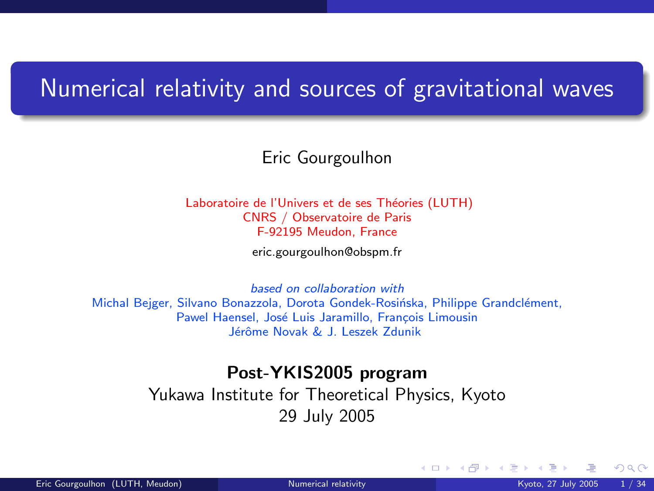### <span id="page-0-1"></span>Numerical relativity and sources of gravitational waves

Eric Gourgoulhon

Laboratoire de l'Univers et de ses Théories (LUTH) CNRS / Observatoire de Paris F-92195 Meudon, France

[eric.gourgoulhon@obspm.fr](mailto:eric.gourgoulhon@obspm.fr)

based on collaboration with Michal Bejger, Silvano Bonazzola, Dorota Gondek-Rosińska, Philippe Grandclément, Pawel Haensel, José Luis Jaramillo, François Limousin Jérôme Novak & J. Leszek Zdunik

### Post-YKIS2005 program

Yukawa Institute for Theoretical Physics, Kyoto 29 July 2005

<span id="page-0-0"></span> $\Omega$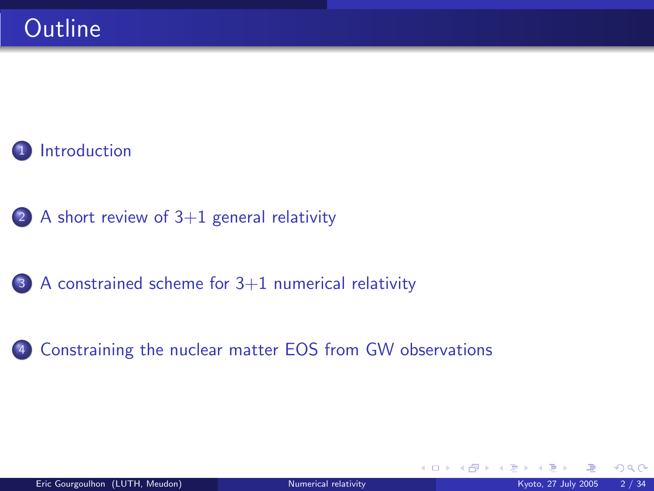

(2) A short review of  $3+1$  general relativity

<sup>3</sup> [A constrained scheme for 3+1 numerical relativity](#page-24-0)

<sup>4</sup> [Constraining the nuclear matter EOS from GW observations](#page-40-0)

 $\Omega$ 

**K ロ ▶ K 何 ▶ K 手**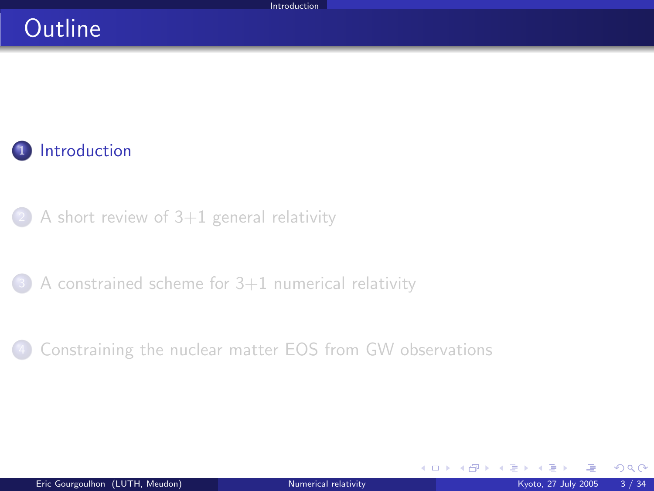### **Outline**



 $(2)$  [A short review of 3+1 general relativity](#page-17-0)

 $3$  A constrained scheme for  $3+1$  numerical relativity

[Constraining the nuclear matter EOS from GW observations](#page-40-0)

<span id="page-2-0"></span> $\Omega$ 

**K ロ ト K 倒 ト K 差 ト**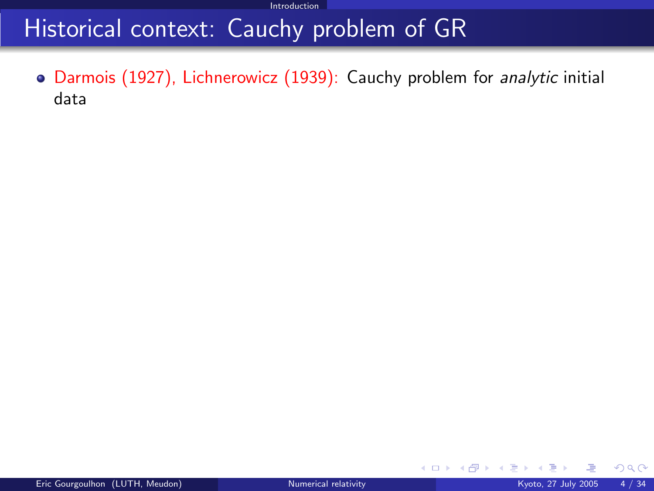### Historical context: Cauchy problem of GR

Darmois (1927), Lichnerowicz (1939): Cauchy problem for analytic initial data

 $\Omega$ 

**メロト メ部ト メミト**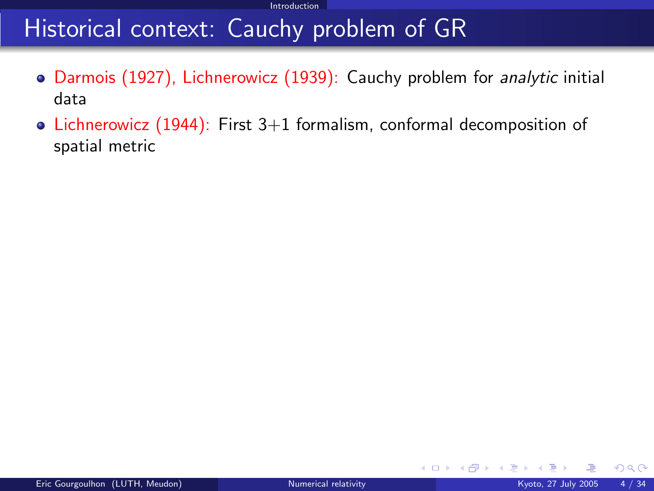### Historical context: Cauchy problem of GR

- Darmois (1927), Lichnerowicz (1939): Cauchy problem for analytic initial data
- Lichnerowicz  $(1944)$ : First 3+1 formalism, conformal decomposition of spatial metric

 $\Omega$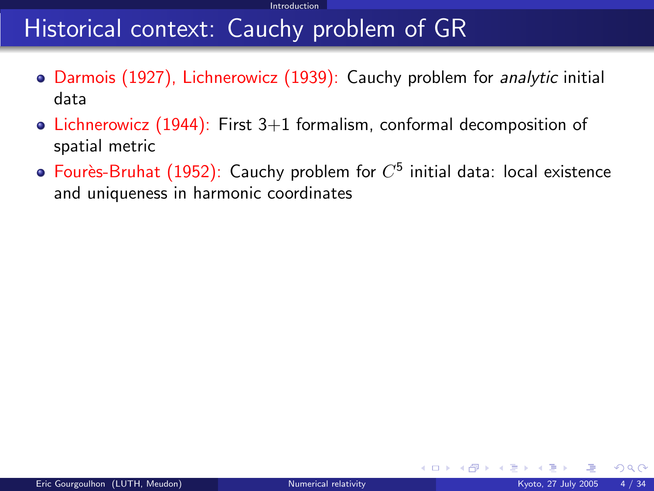## Historical context: Cauchy problem of GR

- Darmois (1927), Lichnerowicz (1939): Cauchy problem for *analytic* initial data
- Lichnerowicz (1944): First  $3+1$  formalism, conformal decomposition of spatial metric
- Fourès-Bruhat (1952): Cauchy problem for  $C^5$  initial data: local existence and uniqueness in harmonic coordinates

 $\Omega$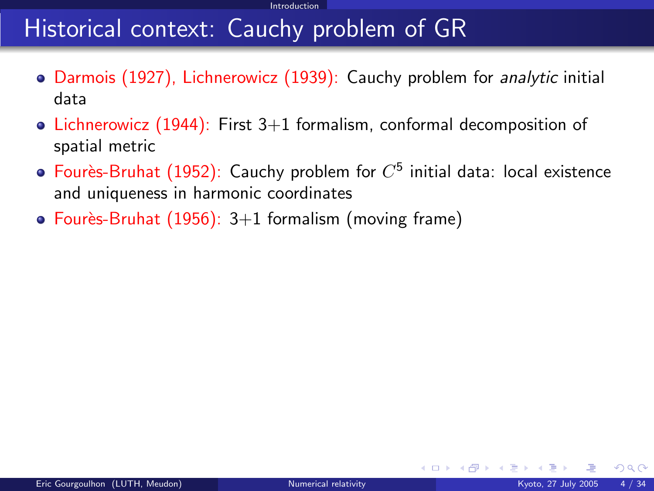## Historical context: Cauchy problem of GR

- Darmois (1927), Lichnerowicz (1939): Cauchy problem for analytic initial data
- Lichnerowicz  $(1944)$ : First 3+1 formalism, conformal decomposition of spatial metric
- Fourès-Bruhat (1952): Cauchy problem for  $C^5$  initial data: local existence and uniqueness in harmonic coordinates
- Fourès-Bruhat  $(1956)$ : 3+1 formalism (moving frame)

 $\Omega$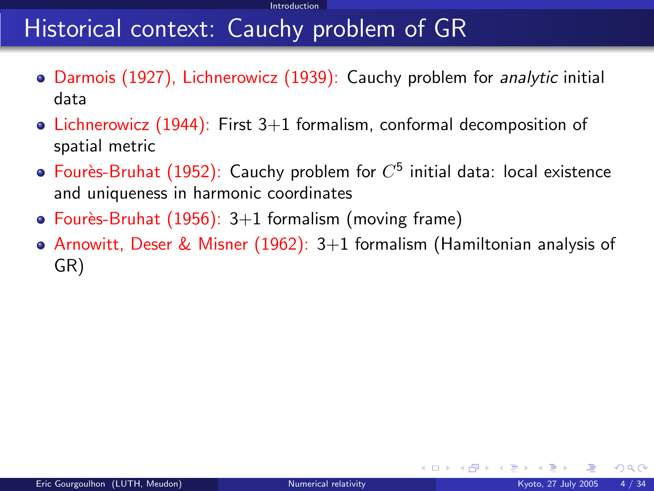## Historical context: Cauchy problem of GR

- Darmois (1927), Lichnerowicz (1939): Cauchy problem for analytic initial data
- Lichnerowicz (1944): First  $3+1$  formalism, conformal decomposition of spatial metric
- Fourès-Bruhat (1952): Cauchy problem for  $C^5$  initial data: local existence and uniqueness in harmonic coordinates
- Fourès-Bruhat (1956):  $3+1$  formalism (moving frame)
- Arnowitt, Deser & Misner (1962):  $3+1$  formalism (Hamiltonian analysis of GR)

 $\Omega$ 

メロト メ都 トメ ミトメ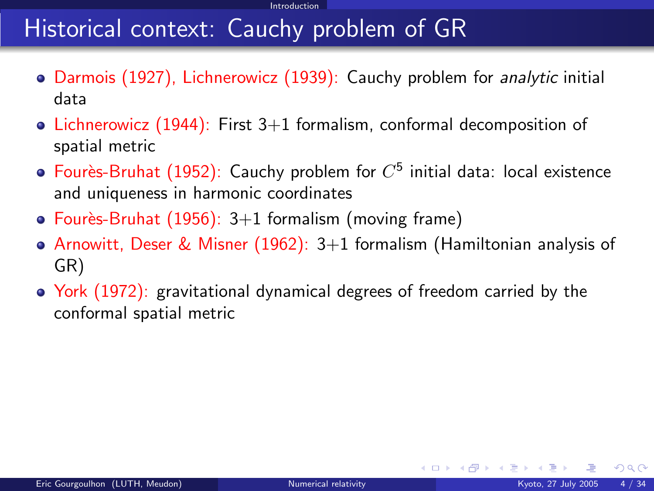## Historical context: Cauchy problem of GR

- Darmois (1927), Lichnerowicz (1939): Cauchy problem for analytic initial data
- Lichnerowicz (1944): First  $3+1$  formalism, conformal decomposition of spatial metric
- Fourès-Bruhat (1952): Cauchy problem for  $C^5$  initial data: local existence and uniqueness in harmonic coordinates
- Fourès-Bruhat (1956):  $3+1$  formalism (moving frame)
- Arnowitt, Deser & Misner (1962):  $3+1$  formalism (Hamiltonian analysis of GR)
- York (1972): gravitational dynamical degrees of freedom carried by the conformal spatial metric

 $\Omega$ 

メロト メ御 トメ ミトメ 毛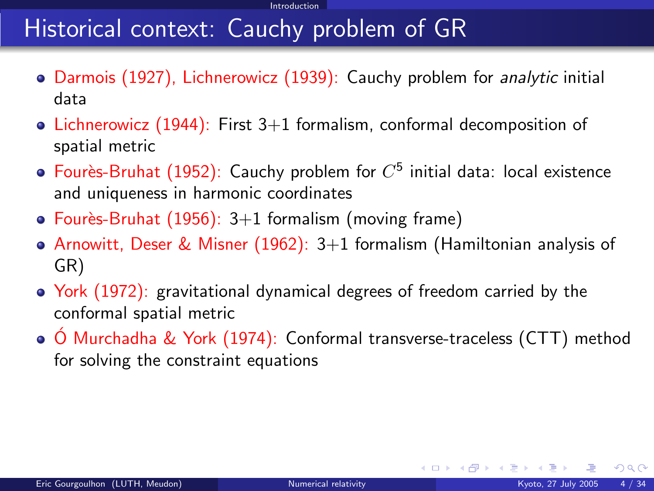## Historical context: Cauchy problem of GR

- Darmois (1927), Lichnerowicz (1939): Cauchy problem for *analytic* initial data
- Lichnerowicz (1944): First  $3+1$  formalism, conformal decomposition of spatial metric
- Fourès-Bruhat (1952): Cauchy problem for  $C^5$  initial data: local existence and uniqueness in harmonic coordinates
- Fourès-Bruhat  $(1956)$ : 3+1 formalism (moving frame)
- Arnowitt, Deser & Misner (1962):  $3+1$  formalism (Hamiltonian analysis of GR)
- York (1972): gravitational dynamical degrees of freedom carried by the conformal spatial metric
- $\bullet$  O Murchadha & York (1974): Conformal transverse-traceless (CTT) method for solving the constraint equations

 $\Omega$ 

メロメ メ御 メメ きょくき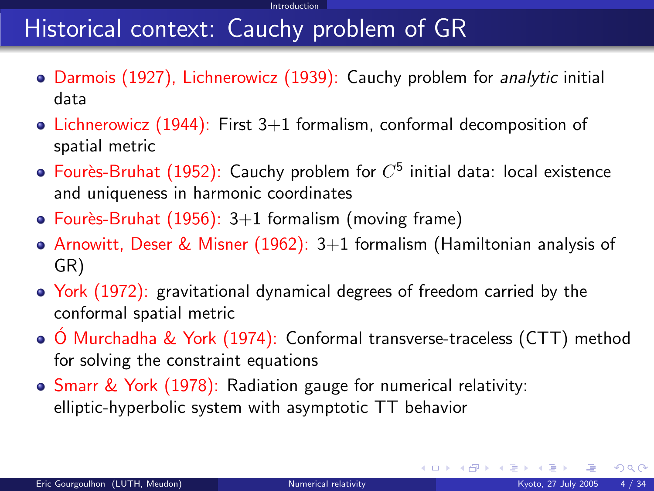## Historical context: Cauchy problem of GR

- Darmois (1927), Lichnerowicz (1939): Cauchy problem for analytic initial data
- Lichnerowicz (1944): First  $3+1$  formalism, conformal decomposition of spatial metric
- Fourès-Bruhat (1952): Cauchy problem for  $C^5$  initial data: local existence and uniqueness in harmonic coordinates
- Fourès-Bruhat (1956):  $3+1$  formalism (moving frame)
- Arnowitt, Deser & Misner (1962):  $3+1$  formalism (Hamiltonian analysis of GR)
- York (1972): gravitational dynamical degrees of freedom carried by the conformal spatial metric
- $\circ$  Ó Murchadha & York (1974): Conformal transverse-traceless (CTT) method for solving the constraint equations
- Smarr & York (1978): Radiation gauge for numerical relativity: elliptic-hyperbolic system with asymptotic TT behavior

 $\Omega$ 

メロメ メ御 メメ きょくき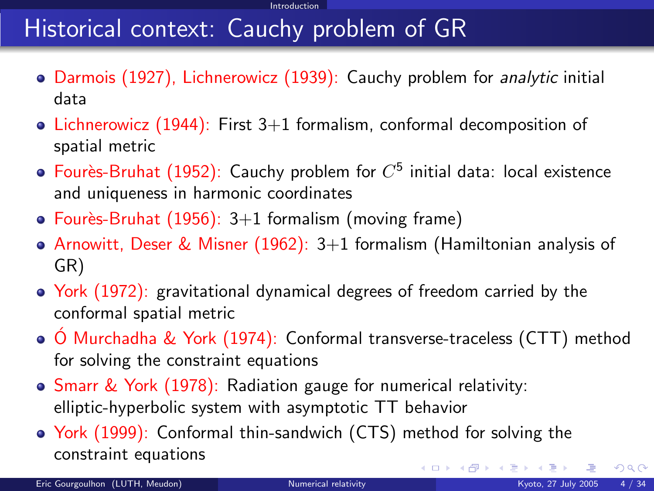## Historical context: Cauchy problem of GR

- Darmois (1927), Lichnerowicz (1939): Cauchy problem for analytic initial data
- Lichnerowicz (1944): First  $3+1$  formalism, conformal decomposition of spatial metric
- Fourès-Bruhat (1952): Cauchy problem for  $C^5$  initial data: local existence and uniqueness in harmonic coordinates
- Fourès-Bruhat (1956):  $3+1$  formalism (moving frame)
- Arnowitt, Deser & Misner (1962):  $3+1$  formalism (Hamiltonian analysis of GR)
- York (1972): gravitational dynamical degrees of freedom carried by the conformal spatial metric
- $\circ$  Ó Murchadha & York (1974): Conformal transverse-traceless (CTT) method for solving the constraint equations
- Smarr & York (1978): Radiation gauge for numerical relativity: elliptic-hyperbolic system with asymptotic TT behavior
- York (1999): Conformal thin-sandwich (CTS) method for solving the constraint equations メロト メ御 トメ ヨ トメ ヨト

 $\Omega$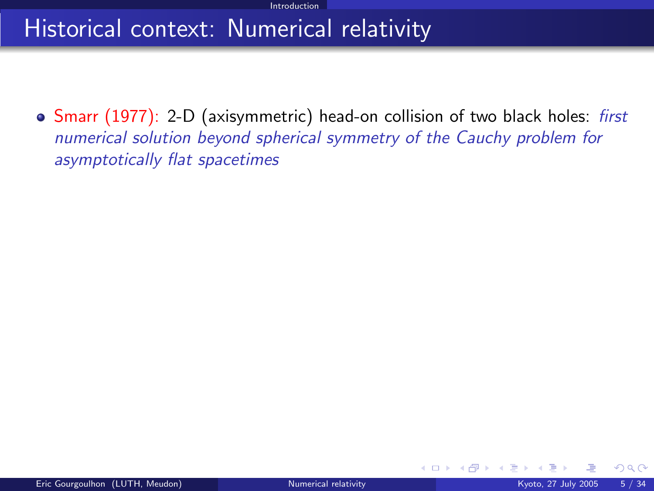## Historical context: Numerical relativity

• Smarr (1977): 2-D (axisymmetric) head-on collision of two black holes: first numerical solution beyond spherical symmetry of the Cauchy problem for asymptotically flat spacetimes

 $\Omega$ 

**K ロ ▶ K 何 ▶ K 手**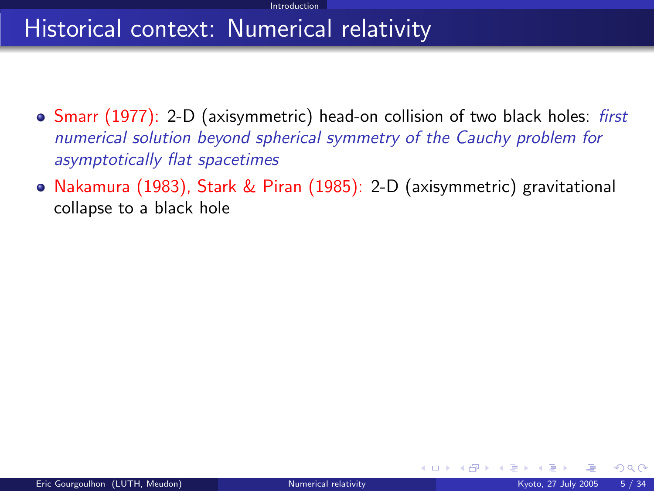## Historical context: Numerical relativity

- Smarr (1977): 2-D (axisymmetric) head-on collision of two black holes: first numerical solution beyond spherical symmetry of the Cauchy problem for asymptotically flat spacetimes
- Nakamura (1983), Stark & Piran (1985): 2-D (axisymmetric) gravitational collapse to a black hole

 $\Omega$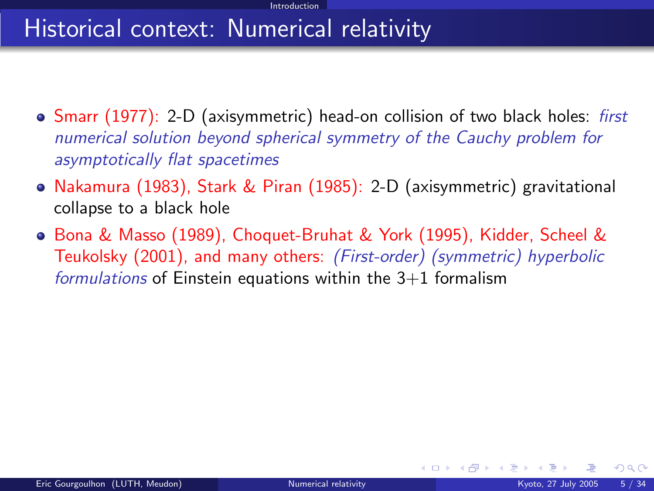## Historical context: Numerical relativity

- Smarr (1977): 2-D (axisymmetric) head-on collision of two black holes: first numerical solution beyond spherical symmetry of the Cauchy problem for asymptotically flat spacetimes
- Nakamura (1983), Stark & Piran (1985): 2-D (axisymmetric) gravitational collapse to a black hole
- Bona & Masso (1989), Choquet-Bruhat & York (1995), Kidder, Scheel & Teukolsky (2001), and many others: (First-order) (symmetric) hyperbolic formulations of Einstein equations within the  $3+1$  formalism

 $\Omega$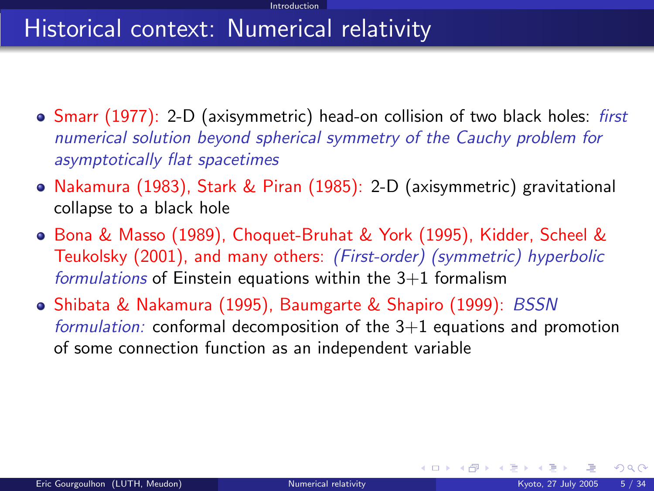## Historical context: Numerical relativity

- Smarr (1977): 2-D (axisymmetric) head-on collision of two black holes: first numerical solution beyond spherical symmetry of the Cauchy problem for asymptotically flat spacetimes
- Nakamura (1983), Stark & Piran (1985): 2-D (axisymmetric) gravitational collapse to a black hole
- Bona & Masso (1989), Choquet-Bruhat & York (1995), Kidder, Scheel & Teukolsky (2001), and many others: (First-order) (symmetric) hyperbolic formulations of Einstein equations within the  $3+1$  formalism
- Shibata & Nakamura (1995), Baumgarte & Shapiro (1999): BSSN formulation: conformal decomposition of the  $3+1$  equations and promotion of some connection function as an independent variable

 $\Omega$ 

メロト メ都 トメ ミトメ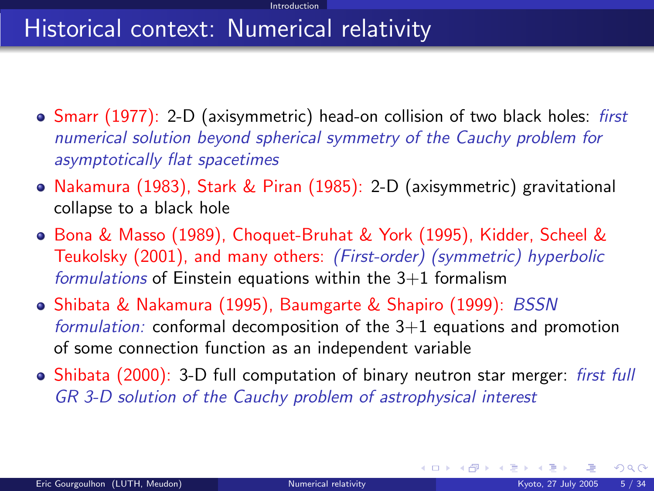## Historical context: Numerical relativity

- Smarr (1977): 2-D (axisymmetric) head-on collision of two black holes: first numerical solution beyond spherical symmetry of the Cauchy problem for asymptotically flat spacetimes
- Nakamura (1983), Stark & Piran (1985): 2-D (axisymmetric) gravitational collapse to a black hole
- Bona & Masso (1989), Choquet-Bruhat & York (1995), Kidder, Scheel & Teukolsky (2001), and many others: (First-order) (symmetric) hyperbolic formulations of Einstein equations within the  $3+1$  formalism
- Shibata & Nakamura (1995), Baumgarte & Shapiro (1999): BSSN formulation: conformal decomposition of the  $3+1$  equations and promotion of some connection function as an independent variable
- Shibata (2000): 3-D full computation of binary neutron star merger: *first full* GR 3-D solution of the Cauchy problem of astrophysical interest

 $\Omega$ 

メロト メ御 トメ ミトメ 毛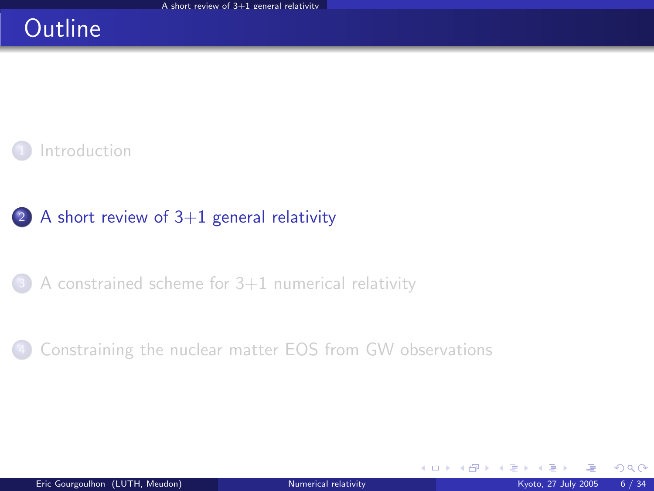### **Outline**



### (2) A short review of  $3+1$  general relativity

<sup>3</sup> [A constrained scheme for 3+1 numerical relativity](#page-24-0)

[Constraining the nuclear matter EOS from GW observations](#page-40-0)

<span id="page-17-0"></span> $\Omega$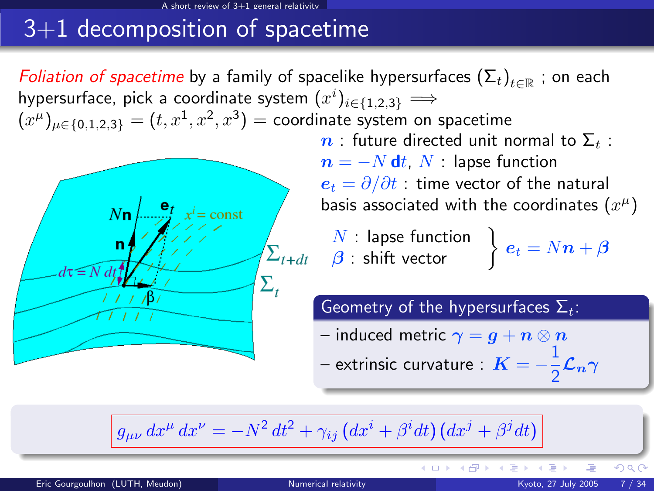#### $review of 3+1 general relativit$

## 3+1 decomposition of spacetime

*Foliation of spacetime* by a family of spacelike hypersurfaces  $(\Sigma_t)_{t\in\mathbb{R}}$  ; on each hypersurface, pick a coordinate system  $(x^i)_{i \in \{1,2,3\}} \Longrightarrow$  $(x^\mu)_{\mu\in\{0,1,2,3\}}=(t,x^1,x^2,x^3)=$  coordinate system on spacetime  $n$ : future directed unit normal to  $\Sigma_t$ :  $n = -N dt$ , N : lapse function  $e_t = \partial/\partial t$  : time vector of the natural basis associated with the coordinates  $(x^{\mu})$  $x^i$  = const  $\begin{array}{l} N: \textsf{ lapse function} \ \boldsymbol{\beta}: \textsf{shift vector} \end{array} \bigg\} \; \boldsymbol{e}_{t} = N \boldsymbol{n} + \boldsymbol{\beta}$ Geometry of the hypersurfaces  $\Sigma_t$ : – induced metric  $\gamma=g+n\otimes n$ – extrinsic curvature :  $K = -\frac{1}{2}$  $\frac{1}{2}$  $\mathcal{L}_n \gamma$ 

$$
g_{\mu\nu} dx^{\mu} dx^{\nu} = -N^2 dt^2 + \gamma_{ij} (dx^i + \beta^i dt) (dx^j + \beta^j dt)
$$

**K ロ ト K 倒 ト K 差 ト** 

 $290$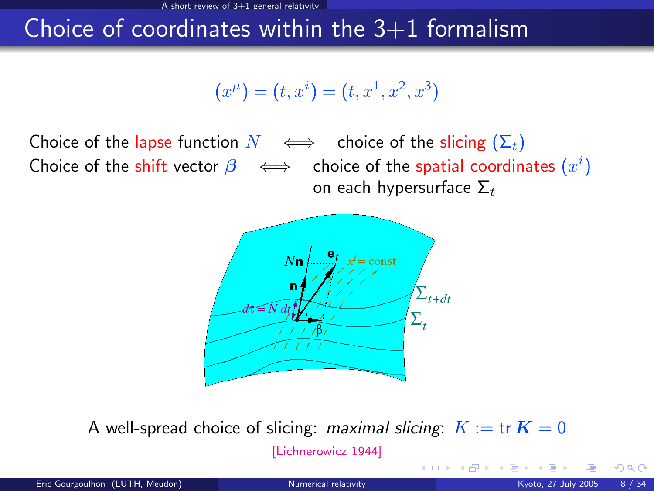### Choice of coordinates within the  $3+1$  formalism

$$
(x^{\mu}) = (t, x^{i}) = (t, x^{1}, x^{2}, x^{3})
$$

Choice of the lapse function  $N \iff$  choice of the slicing  $(\Sigma_t)$ Choice of the shift vector  $\boldsymbol{\beta} \iff$  choice of the spatial coordinates  $(x^i)$ on each hypersurface  $\Sigma_t$ 



A well-spread choice of slicing: maximal slicing:  $K := \text{tr } K = 0$ 

[\[Lichnerowicz 1944\]](#page-0-1)

 $\Omega$ 

**K ロ ト K 何 ト K 手**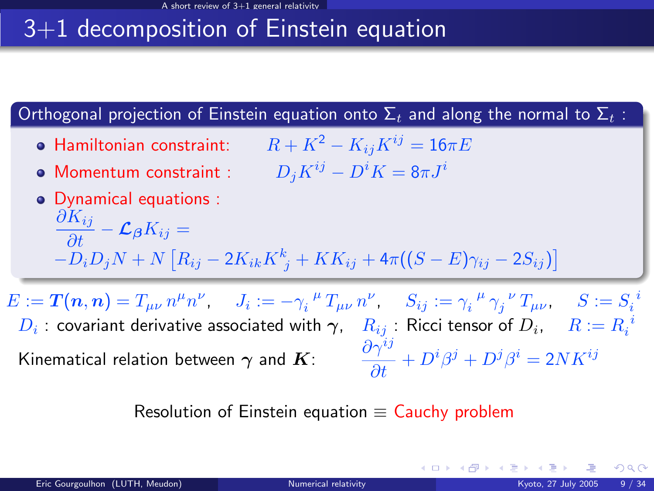## 3+1 decomposition of Einstein equation

### Orthogonal projection of Einstein equation onto  $\Sigma_t$  and along the normal to  $\Sigma_t$ :

- Hamiltonian constraint:  $R + K^2 K_{ij}K^{ij} = 16\pi E$
- Momentum constraint :  $D_i K^{ij} D^i K = 8\pi J^{i}$

\n- **Oynamical equations** : 
$$
\frac{\partial K_{ij}}{\partial t} - \mathcal{L}_{\beta} K_{ij} = -D_i D_j N + N \left[ R_{ij} - 2K_{ik} K^k{}_j + KK_{ij} + 4\pi ((S - E)\gamma_{ij} - 2S_{ij}) \right]
$$
\n

 $E := \bm{T}(\bm{n},\bm{n}) = T_{\mu\nu} \, n^\mu n^\nu, \hspace{0.5cm} J_i := - \gamma_i^{\;\;\mu} \, T_{\mu\nu} \, n^\nu, \hspace{0.5cm} S_{ij} := \gamma_i^{\;\;\mu} \, \gamma_j^{\;\;\nu} \, T_{\mu\nu}, \hspace{0.5cm} S := S_i^{\;\;i}$  $D_i$  : covariant derivative associated with  $\bm{\gamma}, -R_{ij}$  : Ricci tensor of  $D_i, -R:=R_i^{-i}$ Kinematical relation between  $\boldsymbol{\gamma}$  and  $\boldsymbol{K}$ :  $\qquad \frac{\partial \gamma^{ij}}{\partial t}+D^i\beta^j+D^j\beta^i=2NK^{ij}$ 

Resolution of Einstein equation  $\equiv$  Cauchy problem

 $\Omega$ 

イロメ イ部メ イ君メ イ君メー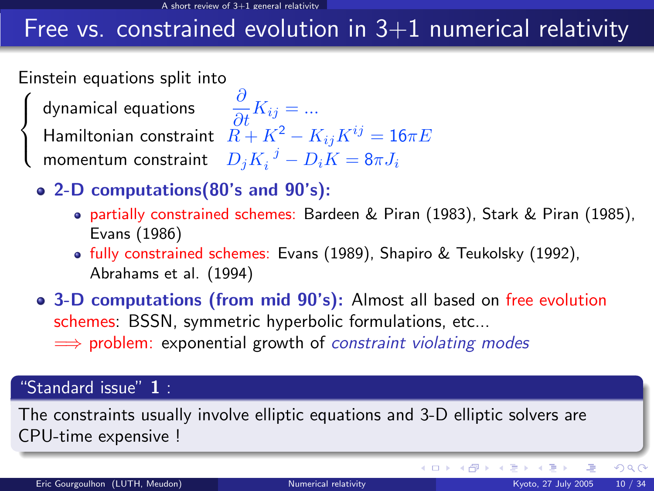## Free vs. constrained evolution in  $3+1$  numerical relativity

Einstein equations split into

 $\sqrt{ }$  $\int$ 

 $\mathcal{L}$ 

dynamical equations  $\qquad \frac{\partial}{\partial t} K_{ij} = ...$ Hamiltonian constraint  $\tilde{R} + K^2 - K_{ij}K^{ij} = 16\pi E$ momentum constraint  $\left\| {D_j{K_i}^{\left( j \right)} - D_iK} \right\| = 8\pi {J_i}$ 

- 2-D computations(80's and 90's):
	- partially constrained schemes: Bardeen & Piran (1983), Stark & Piran (1985), Evans (1986)
	- fully constrained schemes: Evans (1989), Shapiro & Teukolsky (1992), Abrahams et al. (1994)
- 3-D computations (from mid 90's): Almost all based on free evolution schemes: BSSN, symmetric hyperbolic formulations, etc...  $\implies$  problem: exponential growth of constraint violating modes

### "Standard issue" 1:

The constraints usually involve elliptic equations and 3-D elliptic solvers are CPU-time expensive !

**K ロ ト K 倒 ト K 差 ト** 

 $290$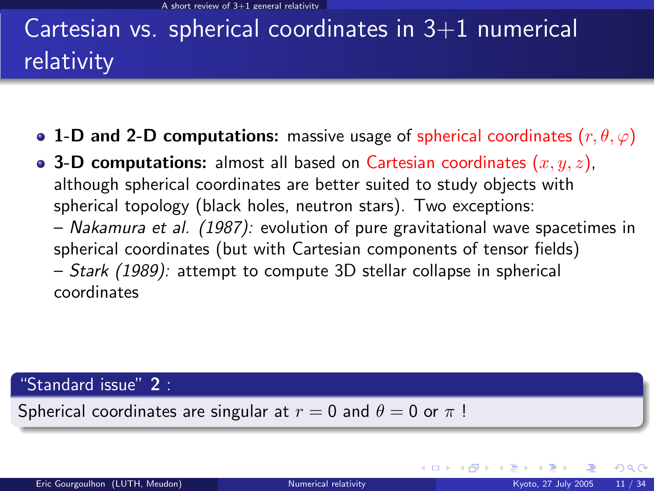# Cartesian vs. spherical coordinates in  $3+1$  numerical relativity

- 1-D and 2-D computations: massive usage of spherical coordinates  $(r, \theta, \varphi)$
- 3-D computations: almost all based on Cartesian coordinates  $(x, y, z)$ , although spherical coordinates are better suited to study objects with spherical topology (black holes, neutron stars). Two exceptions: – Nakamura et al. (1987): evolution of pure gravitational wave spacetimes in spherical coordinates (but with Cartesian components of tensor fields) – Stark (1989): attempt to compute 3D stellar collapse in spherical coordinates

#### "Standard issue"  $2$  :

Spherical coordinates are singular at  $r = 0$  and  $\theta = 0$  or  $\pi$ !

 $QQ$ 

メロメ メタメ メミメス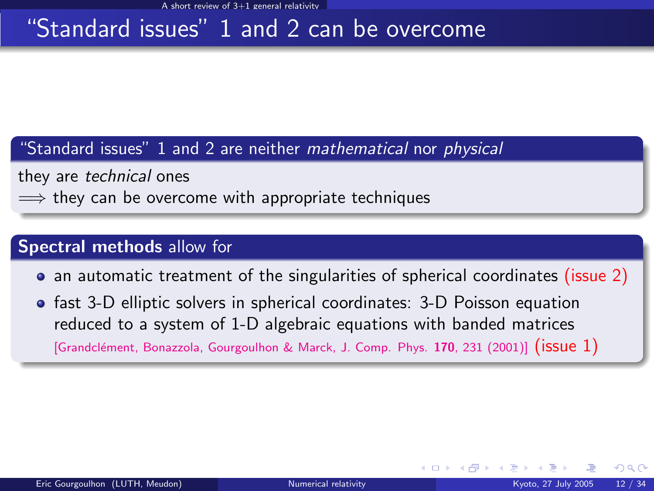### "Standard issues" 1 and 2 can be overcome

"Standard issues" 1 and 2 are neither mathematical nor physical

they are technical ones

 $\implies$  they can be overcome with appropriate techniques

### Spectral methods allow for

- an automatic treatment of the singularities of spherical coordinates (issue 2)
- fast 3-D elliptic solvers in spherical coordinates: 3-D Poisson equation reduced to a system of 1-D algebraic equations with banded matrices

[Grandclément, Bonazzola, Gourgoulhon & Marck, J. Comp. Phys. 170, 231 (2001)] ( $i$ SUe 1)

 $\Omega$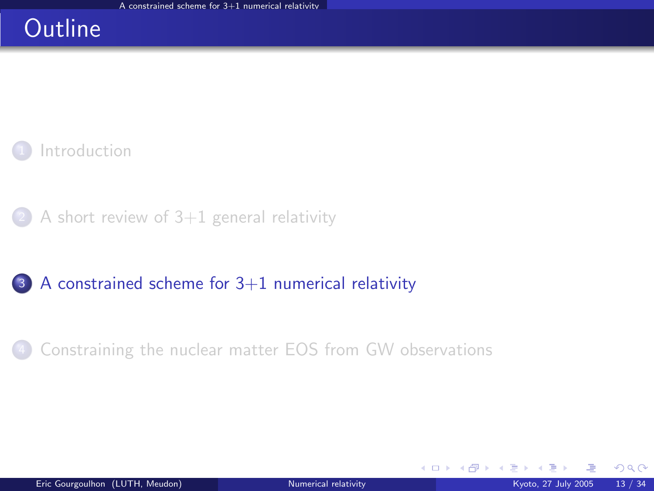### **Outline**



 $(2)$  [A short review of 3+1 general relativity](#page-17-0)

<sup>3</sup> [A constrained scheme for 3+1 numerical relativity](#page-24-0)

[Constraining the nuclear matter EOS from GW observations](#page-40-0)

<span id="page-24-0"></span> $\Omega$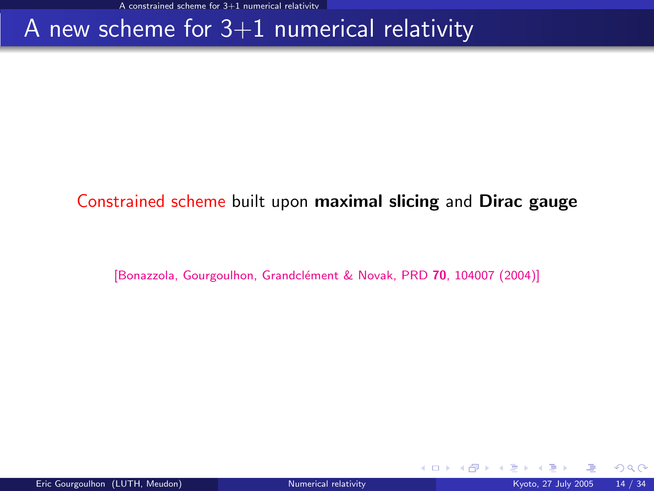### A new scheme for  $3+1$  numerical relativity

### Constrained scheme built upon maximal slicing and Dirac gauge

[Bonazzola, Gourgoulhon, Grandclément & Novak, PRD 70, 104007 (2004)]

 $\Omega$ 

**K ロ ▶ K 伊 ▶ K 舌**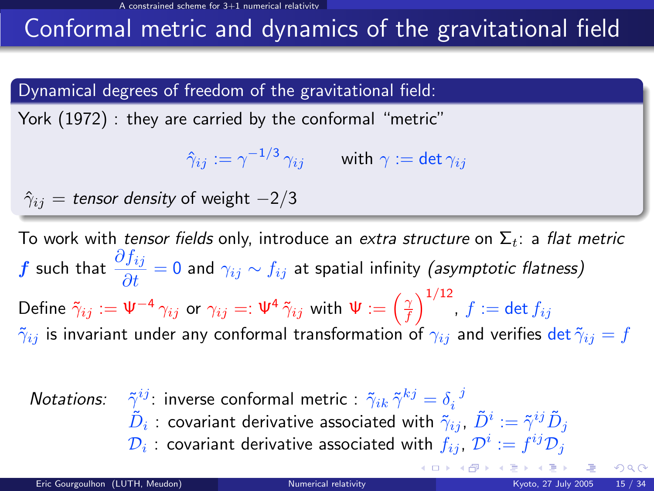## Conformal metric and dynamics of the gravitational field

### Dynamical degrees of freedom of the gravitational field:

York (1972) : they are carried by the conformal "metric"

$$
\hat{\gamma}_{ij}:=\gamma^{-1/3}\,\gamma_{ij}\qquad\text{ with }\gamma:=\det\gamma_{ij}
$$

$$
\hat{\gamma}_{ij} = \text{tensor density of weight } -2/3
$$

To work with tensor fields only, introduce an extra structure on  $\Sigma_t$ : a flat metric  $\displaystyle f$  such that  $\displaystyle\frac{\partial f_{ij}}{\partial t}=0$  and  $\gamma_{ij}\sim f_{ij}$  at spatial infinity (*asymptotic flatness)* Define  $\tilde \gamma_{ij}:=\Psi^{-4}\,\gamma_{ij}$  or  $\gamma_{ij}=:\Psi^{4}\,\tilde \gamma_{ij}$  with  $\Psi:=\left(\frac{\gamma}{f}\right)^{1/12}$ ,  $f:=\det f_{ij}$  $\tilde{\gamma}_{ij}$  is invariant under any conformal transformation of  $\gamma_{ij}$  and verifies det  $\tilde{\gamma}_{ij} = f$ 

| Notations:                                                                                                                   | $\tilde{\gamma}^{ij}$ : inverse conformal metric : $\tilde{\gamma}_{ik}\tilde{\gamma}^{kj} = \delta_i{}^j$ |
|------------------------------------------------------------------------------------------------------------------------------|------------------------------------------------------------------------------------------------------------|
| $\tilde{D}_i$ : covariant derivative associated with $\tilde{\gamma}_{ij}$ , $\tilde{D}^i := \tilde{\gamma}^{ij}\tilde{D}_j$ |                                                                                                            |
| $\mathcal{D}_i$ : covariant derivative associated with $f_{ij}$ , $\mathcal{D}^i := f^{ij}\mathcal{D}_j$                     |                                                                                                            |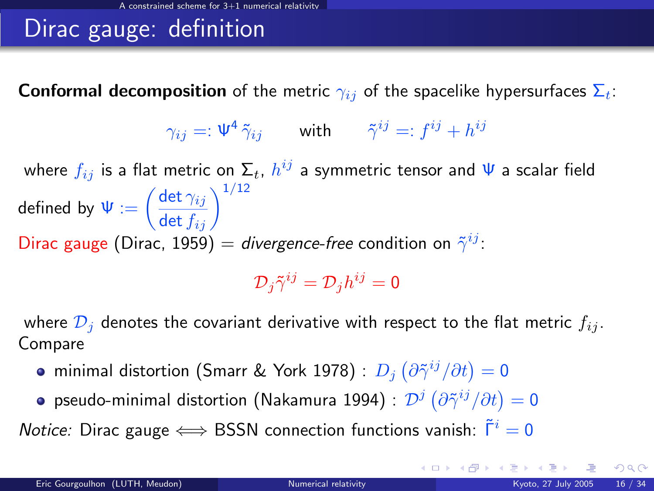### Dirac gauge: definition

**Conformal decomposition** of the metric  $\gamma_{ij}$  of the spacelike hypersurfaces  $\Sigma_t$ :

$$
\gamma_{ij} =: \Psi^4 \, \tilde{\gamma}_{ij} \qquad \text{with} \qquad \tilde{\gamma}^{ij} =: f^{ij} + h^{ij}
$$

where  $f_{ij}$  is a flat metric on  $\Sigma_t$ ,  $h^{ij}$  a symmetric tensor and  $\Psi$  a scalar field  $\text{\sf defined by } \Psi := \left(\frac{\det \gamma_{ij}}{\det f_{ij}}\right)^{1/12}$ Dirac gauge (Dirac, 1959) = divergence-free condition on  $\tilde{\gamma}^{ij}$ :

 $\mathcal{D}_{j} \tilde{\gamma}^{ij} = \mathcal{D}_{j} h^{ij} = 0$ 

where  $\mathcal{D}_i$  denotes the covariant derivative with respect to the flat metric  $f_{ii}$ . Compare

- minimal distortion (Smarr & York 1978) :  $D_j\left(\partial\tilde{\gamma}^{ij}/\partial t\right)=0$
- pseudo-minimal distortion (Nakamura 1994) :  $\mathcal{D}^{j}\left(\partial\tilde{\gamma}^{ij}/\partial t\right)=0$

*Notice:* Dirac gauge  $\iff$  BSSN connection functions vanish:  $\ddot{\Gamma}^i = 0$ 

**K ロ ト K 個 ト K 差 ト K 差**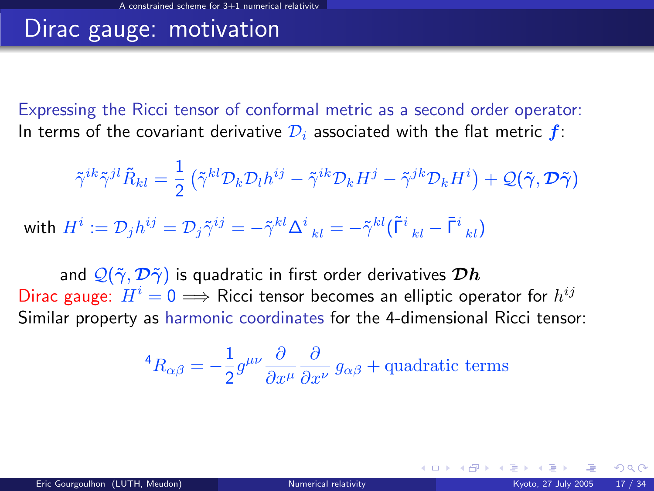### Dirac gauge: motivation

Expressing the Ricci tensor of conformal metric as a second order operator: In terms of the covariant derivative  $\mathcal{D}_i$  associated with the flat metric  $f$ :

$$
\tilde{\gamma}^{ik}\tilde{\gamma}^{jl}\tilde{R}_{kl}=\frac{1}{2}\left(\tilde{\gamma}^{kl}\mathcal{D}_{k}\mathcal{D}_{l}h^{ij}-\tilde{\gamma}^{ik}\mathcal{D}_{k}H^{j}-\tilde{\gamma}^{jk}\mathcal{D}_{k}H^{i}\right)+\mathcal{Q}(\tilde{\gamma},\mathcal{D}\tilde{\gamma})
$$

with  $H^i:=\mathcal{D}_j h^{ij}=\mathcal{D}_j \tilde{\gamma}^{ij}=-\tilde{\gamma}^{kl}{\Delta^i}_{kl}=-\tilde{\gamma}^{kl}(\tilde{\Gamma}^i{}_{kl}-\bar{\Gamma}^i{}_{kl})$ 

and  $\mathcal{Q}(\tilde{\gamma}, \mathcal{D}\tilde{\gamma})$  is quadratic in first order derivatives  $\mathcal{D}h$ Dirac gauge:  $H^i = 0 \Longrightarrow$  Ricci tensor becomes an elliptic operator for  $h^{ij}$ Similar property as harmonic coordinates for the 4-dimensional Ricci tensor:

<sup>4</sup>
$$
R_{\alpha\beta} = -\frac{1}{2}g^{\mu\nu}\frac{\partial}{\partial x^{\mu}}\frac{\partial}{\partial x^{\nu}}g_{\alpha\beta}
$$
 + quadratic terms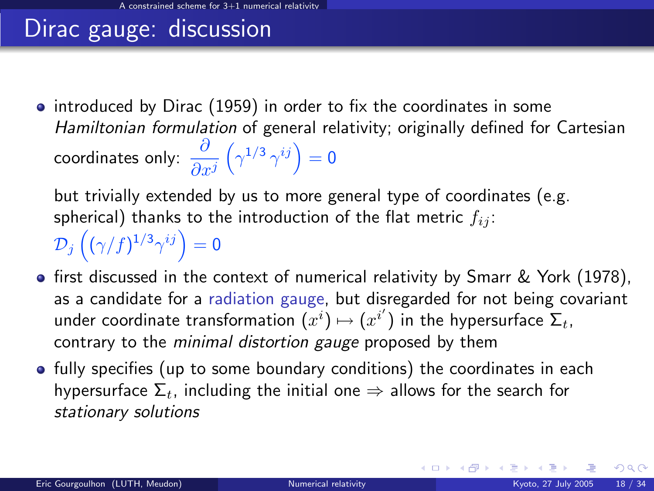### Dirac gauge: discussion

• introduced by Dirac (1959) in order to fix the coordinates in some Hamiltonian formulation of general relativity; originally defined for Cartesian coordinates only:  $\frac{\partial}{\partial x^j}$  $\left(\gamma^{1/3}\,\gamma^{ij}\right)=0$ 

but trivially extended by us to more general type of coordinates (e.g. spherical) thanks to the introduction of the flat metric  $f_{ij}$ :  $\mathcal{D}_j\left((\gamma/f)^{1/3}\gamma^{ij}\right)=0$ 

- **•** first discussed in the context of numerical relativity by Smarr & York (1978), as a candidate for a radiation gauge, but disregarded for not being covariant under coordinate transformation  $(x^i) \mapsto (x^{i'})$  in the hypersurface  $\overline{\Sigma}_t$ , contrary to the minimal distortion gauge proposed by them
- fully specifies (up to some boundary conditions) the coordinates in each hypersurface  $\Sigma_t$ , including the initial one  $\Rightarrow$  allows for the search for stationary solutions

メロメ メ御 メメ きょくき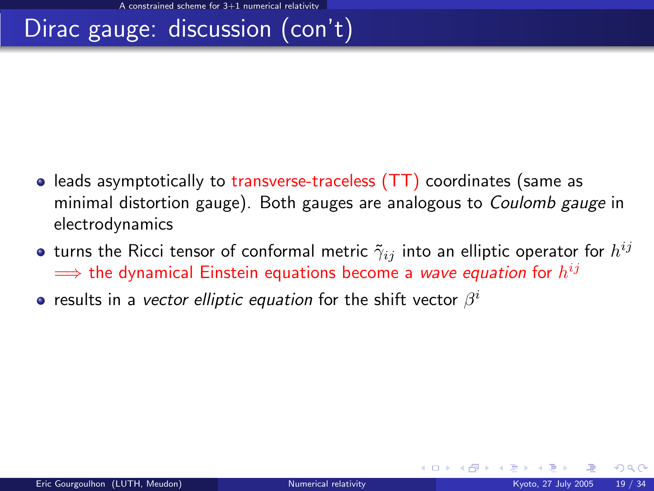## Dirac gauge: discussion (con't)

- $\bullet$  leads asymptotically to transverse-traceless (TT) coordinates (same as minimal distortion gauge). Both gauges are analogous to Coulomb gauge in electrodynamics
- turns the Ricci tensor of conformal metric  $\tilde{\gamma}_{ij}$  into an elliptic operator for  $h^{ij}$  $\Longrightarrow$  the dynamical Einstein equations become a *wave equation* for  $h^{ij}$
- results in a *vector elliptic equation* for the shift vector  $\beta^i$

 $\Omega$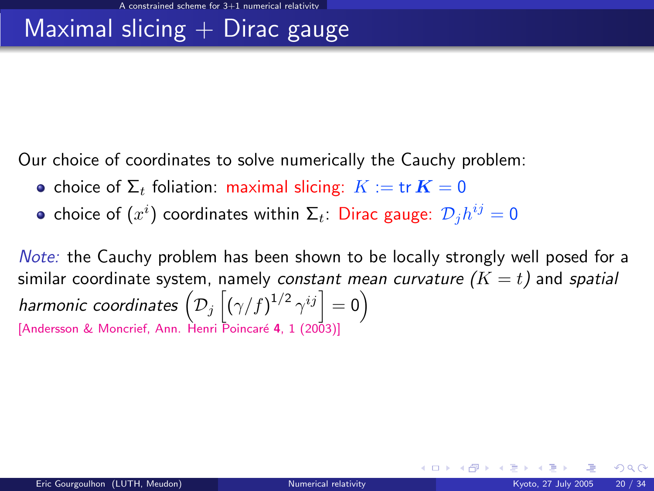### Maximal slicing  $+$  Dirac gauge

Our choice of coordinates to solve numerically the Cauchy problem:

- choice of  $\Sigma_t$  foliation: maximal slicing:  $K := \text{tr } K = 0$
- choice of  $(x^i)$  coordinates within  $\Sigma_t$ : Dirac gauge:  $\mathcal{D}_jh^{ij}=0$

Note: the Cauchy problem has been shown to be locally strongly well posed for a similar coordinate system, namely constant mean curvature  $(K = t)$  and spatial harmonic coordinates  $\left( \mathcal{D}_j \left[ (\gamma/f)^{1/2} \, \gamma^{ij} \right] = 0 \right)$ [Andersson & Moncrief, Ann. Henri Poincaré 4, 1 (2003)]

**K ロ ト K 倒 ト K 差 ト**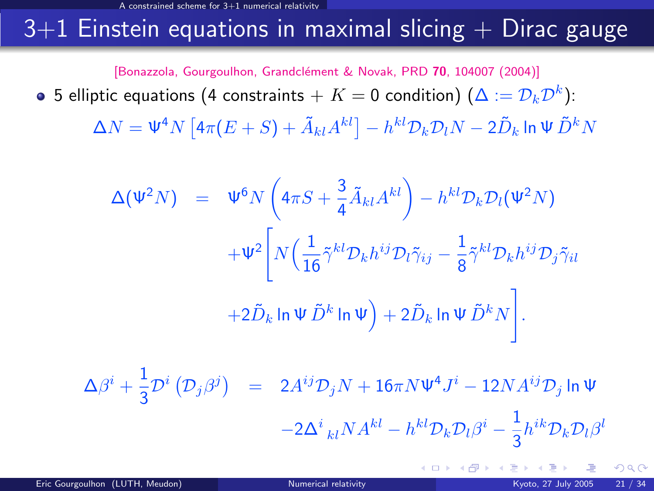### $3+1$  Einstein equations in maximal slicing  $+$  Dirac gauge

[Bonazzola, Gourgoulhon, Grandclément & Novak, PRD 70, 104007 (2004)]

5 elliptic equations (4 constraints  $+$   $K=0$  condition) ( $\Delta:=\mathcal{D}_{k}\mathcal{D}^{k}$ ):

 $\Delta N=\Psi^4 N \left[4\pi(E+S)+\tilde{A}_{kl}A^{kl}\right]-h^{kl}\mathcal{D}_k\mathcal{D}_lN-2\tilde{D}_k$  In  $\Psi\,\tilde{D}^kN$ 

$$
\Delta(\Psi^2 N) = \Psi^6 N \left( 4\pi S + \frac{3}{4} \tilde{A}_{kl} A^{kl} \right) - h^{kl} \mathcal{D}_k \mathcal{D}_l (\Psi^2 N)
$$

$$
+ \Psi^2 \left[ N \left( \frac{1}{16} \tilde{\gamma}^{kl} \mathcal{D}_k h^{ij} \mathcal{D}_l \tilde{\gamma}_{ij} - \frac{1}{8} \tilde{\gamma}^{kl} \mathcal{D}_k h^{ij} \mathcal{D}_j \tilde{\gamma}_{il} \right. \right.
$$

$$
+ 2 \tilde{D}_k \ln \Psi \tilde{D}^k \ln \Psi \right) + 2 \tilde{D}_k \ln \Psi \tilde{D}^k N \bigg].
$$

 $\Delta\beta^i + \frac{1}{2}$  $\frac{1}{3} \mathcal{D}^i (\mathcal{D}_j \beta^j)$  = 2 $A^{ij} \mathcal{D}_j N + 16 \pi N \Psi^4 J^i - 12 N A^{ij} \mathcal{D}_j$  ln Ψ  $-2\Delta^{i}{}_{kl}NA^{kl} - h^{kl}\mathcal{D}_{k}\mathcal{D}_{l}\beta^{i} - \frac{1}{3}$  $\frac{1}{3}h^{ik}\mathcal{D}_k\mathcal{D}_l\beta^l$ 

 $\Omega$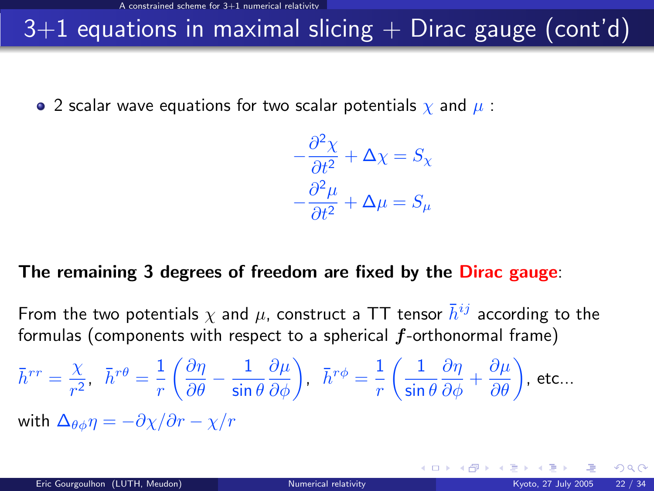# $3+1$  equations in maximal slicing  $+$  Dirac gauge (cont'd)

• 2 scalar wave equations for two scalar potentials  $\chi$  and  $\mu$ :

$$
-\frac{\partial^2 \chi}{\partial t^2} + \Delta \chi = S_{\chi}
$$

$$
-\frac{\partial^2 \mu}{\partial t^2} + \Delta \mu = S_{\mu}
$$

### The remaining 3 degrees of freedom are fixed by the Dirac gauge:

From the two potentials  $\chi$  and  $\mu$ , construct a TT tensor  $\bar{h}^{ij}$  according to the formulas (components with respect to a spherical  $f$ -orthonormal frame)

$$
\bar{h}^{rr} = \frac{\chi}{r^2}, \quad \bar{h}^{r\theta} = \frac{1}{r} \left( \frac{\partial \eta}{\partial \theta} - \frac{1}{\sin \theta} \frac{\partial \mu}{\partial \phi} \right), \quad \bar{h}^{r\phi} = \frac{1}{r} \left( \frac{1}{\sin \theta} \frac{\partial \eta}{\partial \phi} + \frac{\partial \mu}{\partial \theta} \right), \text{ etc...}
$$
\nwith  $\Delta_{\theta \phi} \eta = -\partial \chi / \partial r - \chi / r$ 

 $\Omega$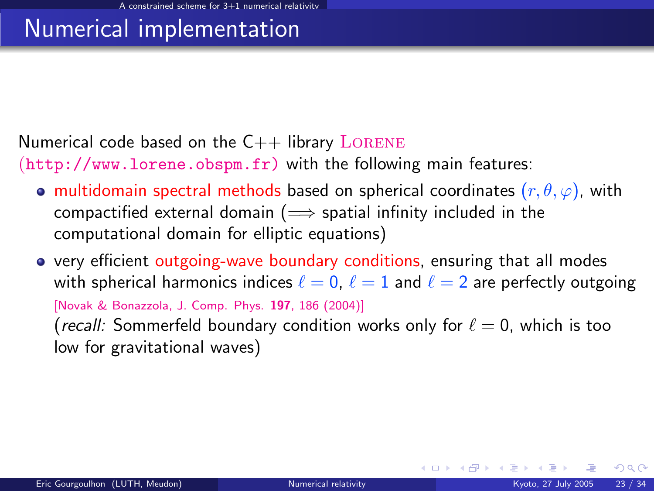### Numerical implementation

Numerical code based on the  $C++$  library LORENE

 $(\text{http://www.lorene.obspm.fr})$  with the following main features:

- **•** multidomain spectral methods based on spherical coordinates  $(r, \theta, \varphi)$ , with compactified external domain ( $\implies$  spatial infinity included in the computational domain for elliptic equations)
- very efficient outgoing-wave boundary conditions, ensuring that all modes with spherical harmonics indices  $\ell = 0, \ell = 1$  and  $\ell = 2$  are perfectly outgoing [\[Novak & Bonazzola, J. Comp. Phys.](http://dx.doi.org/10.1016/j.jcp.2003.11.027) 197, 186 (2004)] (recall: Sommerfeld boundary condition works only for  $\ell = 0$ , which is too low for gravitational waves)

 $\Omega$ 

**K ロ ⊁ K 倒 ≯ K 差 ≯ K**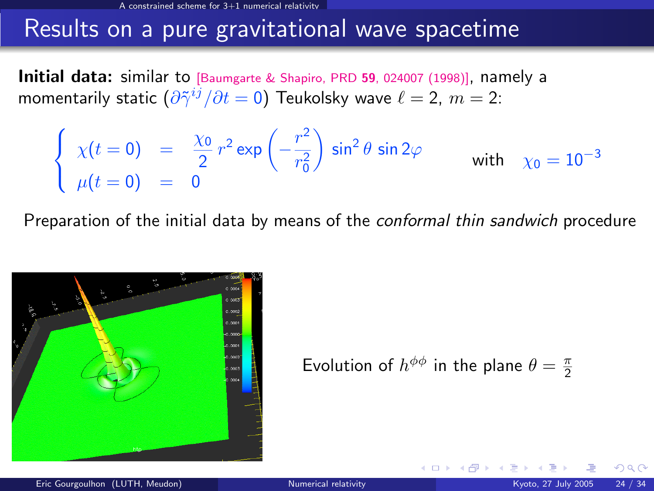### Results on a pure gravitational wave spacetime

Initial data: similar to [\[Baumgarte & Shapiro, PRD](http://publish.aps.org/abstract/PRD/v59/e024007) 59, 024007 (1998)], namely a momentarily static  $(\partial \tilde{\gamma}^{ij}/\partial t = 0)$  Teukolsky wave  $\ell = 2, \, m = 2:$ 

$$
\begin{cases}\n\chi(t=0) = \frac{\chi_0}{2} r^2 \exp\left(-\frac{r^2}{r_0^2}\right) \sin^2 \theta \sin 2\varphi \\
\mu(t=0) = 0\n\end{cases} \quad \text{with} \quad \chi_0 = 10^{-3}
$$

Preparation of the initial data by means of the conformal thin sandwich procedure



Evolution of  $h^{\phi\phi}$  in the plane  $\theta = \frac{\pi}{2}$ 

**← ロ ▶ → イ 同**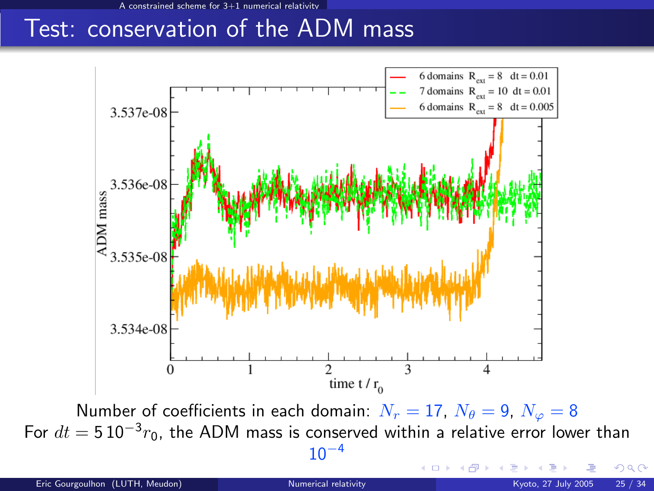A constrained scheme for 3+1 numerical relativity

### Test: conservation of the ADM mass



For  $dt = 5\,10^{-3}r_0$ , the ADM mass is conserved within a relative error lower than  $10^{-4}$ 

4 0 8

 $\Omega$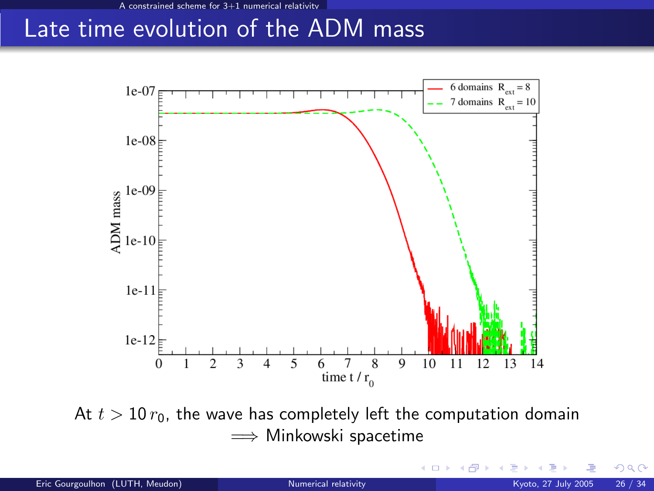### Late time evolution of the ADM mass



At  $t > 10 r_0$ , the wave has completely left the computation domain  $\implies$  **Minkowski spacetime** 

 $\Omega$ 

**K ロ ኦ K 御 ≯ K**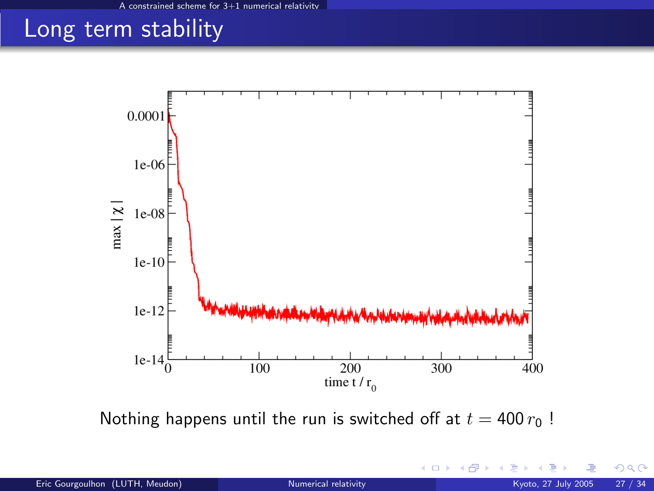## Long term stability



Nothing happens until the run is switched off at  $t = 400 r_0$ !

+ □ ▶ + dP

 $299$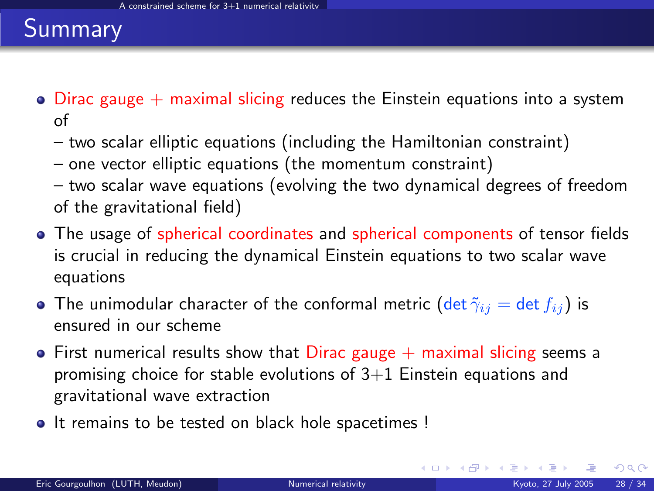### Summary

- $\bullet$  Dirac gauge  $+$  maximal slicing reduces the Einstein equations into a system of
	- two scalar elliptic equations (including the Hamiltonian constraint)
	- one vector elliptic equations (the momentum constraint)
	- two scalar wave equations (evolving the two dynamical degrees of freedom of the gravitational field)
- The usage of spherical coordinates and spherical components of tensor fields is crucial in reducing the dynamical Einstein equations to two scalar wave equations
- The unimodular character of the conformal metric (det  $\tilde{\gamma}_{ij} = \det f_{ij}$ ) is ensured in our scheme
- $\bullet$  First numerical results show that Dirac gauge  $+$  maximal slicing seems a promising choice for stable evolutions of  $3+1$  Einstein equations and gravitational wave extraction
- It remains to be tested on black hole spacetimes !

 $\Omega$ 

メロメ メタメ メミメス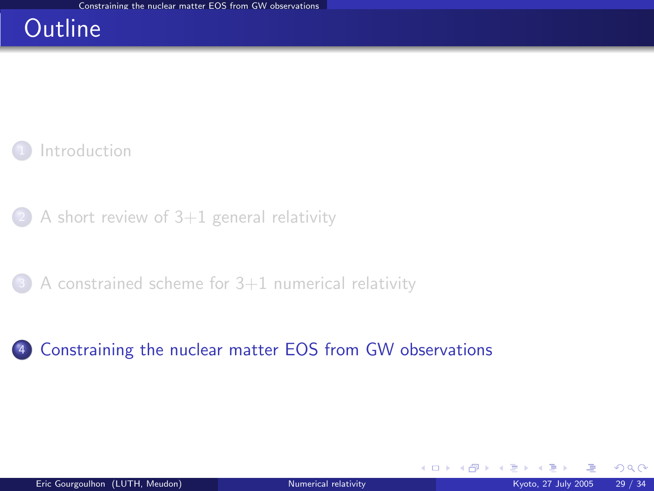### **Outline**

**[Introduction](#page-2-0)** 

 $(2)$  [A short review of 3+1 general relativity](#page-17-0)

 $3$  A constrained scheme for  $3+1$  numerical relativity

### <sup>4</sup> [Constraining the nuclear matter EOS from GW observations](#page-40-0)

<span id="page-40-0"></span> $\Omega$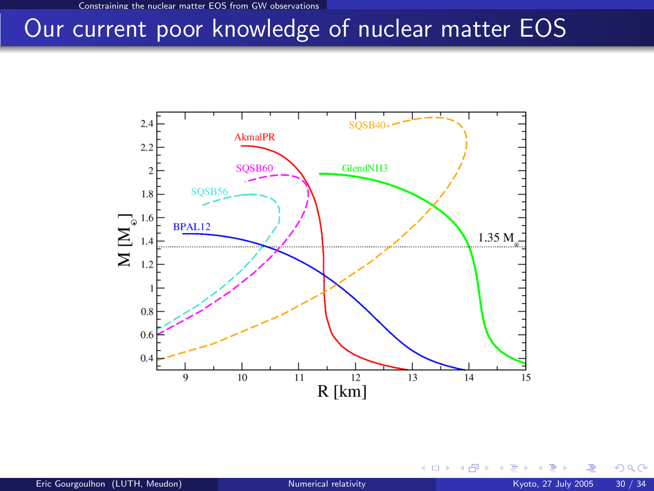### Our current poor knowledge of nuclear matter EOS



**≮ロ ▶ ⊀ 伊 ▶** 

 $299$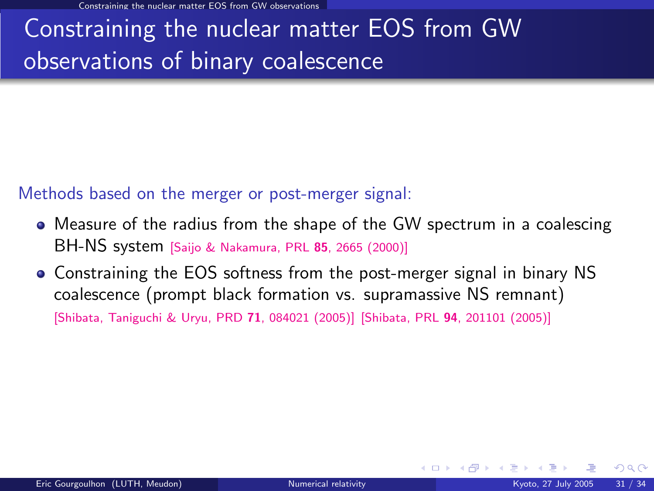Constraining the nuclear matter EOS from GW observations

# Constraining the nuclear matter EOS from GW observations of binary coalescence

Methods based on the merger or post-merger signal:

- Measure of the radius from the shape of the GW spectrum in a coalescing BH-NS system [\[Saijo & Nakamura, PRL](http://link.aps.org/abstract/PRL/v85/p2665) <sup>85</sup>, 2665 (2000)]
- Constraining the EOS softness from the post-merger signal in binary NS coalescence (prompt black formation vs. supramassive NS remnant) [\[Shibata, Taniguchi & Uryu, PRD](http://link.aps.org/abstract/PRD/v71/e084021) 71, 084021 (2005)] [Shibata, PRL 94[, 201101 \(2005\)\]](http://link.aps.org/abstract/PRL/v94/e201101)

 $\Omega$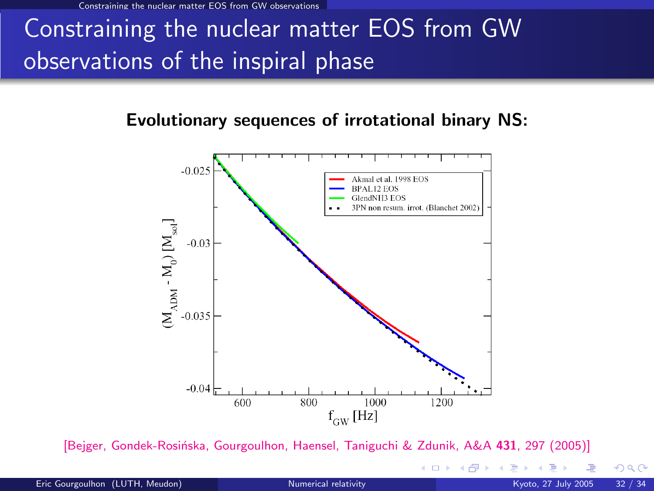Constraining the nuclear matter EOS from GW observations

# Constraining the nuclear matter EOS from GW observations of the inspiral phase

### Evolutionary sequences of irrotational binary NS:



[Bejger, Gondek-Rosińska, Gourgoulhon, Haensel, Taniguchi & Zdunik, A&A 431, 297 (2005)]

Eric Gourgoulhon (LUTH, Meudon) [Numerical relativity](#page-0-0) Numerical relativity Kyoto, 27 July 2005 32 / 34

**←ロ ▶ ← イ 同 →** 

 $299$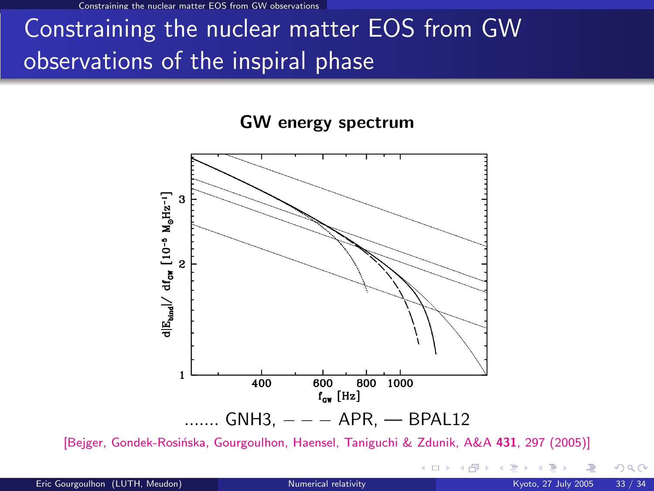he nuclear matter EOS from GW observations

# Constraining the nuclear matter EOS from GW observations of the inspiral phase

#### GW energy spectrum



[Bejger, Gondek-Rosińska, Gourgoulhon, Haensel, Taniguchi & Zdunik, A&A 431, 297 (2005)]

 $290$ 

**←ロ ▶ ← イ 同 →**